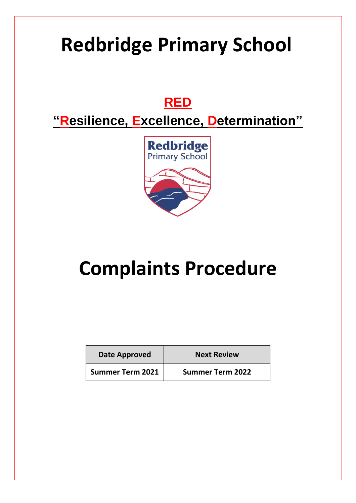# **Redbridge Primary School**

## **RED**

**"Resilience, Excellence, Determination"**



# **Complaints Procedure**

| Date Approved           | <b>Next Review</b>      |
|-------------------------|-------------------------|
| <b>Summer Term 2021</b> | <b>Summer Term 2022</b> |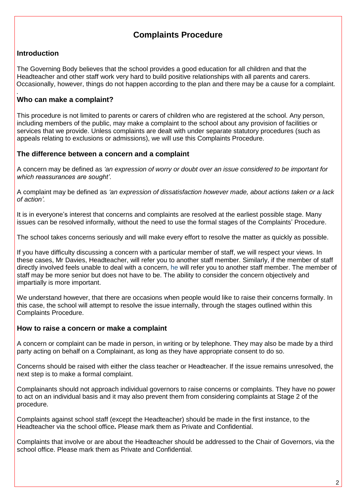### **Complaints Procedure**

#### **Introduction**

The Governing Body believes that the school provides a good education for all children and that the Headteacher and other staff work very hard to build positive relationships with all parents and carers. Occasionally, however, things do not happen according to the plan and there may be a cause for a complaint.

#### . **Who can make a complaint?**

This procedure is not limited to parents or carers of children who are registered at the school. Any person, including members of the public, may make a complaint to the school about any provision of facilities or services that we provide. Unless complaints are dealt with under separate statutory procedures (such as appeals relating to exclusions or admissions), we will use this Complaints Procedure.

#### **The difference between a concern and a complaint**

A concern may be defined as *'an expression of worry or doubt over an issue considered to be important for which reassurances are sought'*.

A complaint may be defined as *'an expression of dissatisfaction however made, about actions taken or a lack of action'.*

It is in everyone's interest that concerns and complaints are resolved at the earliest possible stage. Many issues can be resolved informally, without the need to use the formal stages of the Complaints' Procedure.

The school takes concerns seriously and will make every effort to resolve the matter as quickly as possible.

If you have difficulty discussing a concern with a particular member of staff, we will respect your views. In these cases, Mr Davies, Headteacher, will refer you to another staff member. Similarly, if the member of staff directly involved feels unable to deal with a concern, he will refer you to another staff member. The member of staff may be more senior but does not have to be. The ability to consider the concern objectively and impartially is more important.

We understand however, that there are occasions when people would like to raise their concerns formally. In this case, the school will attempt to resolve the issue internally, through the stages outlined within this Complaints Procedure.

#### **How to raise a concern or make a complaint**

A concern or complaint can be made in person, in writing or by telephone. They may also be made by a third party acting on behalf on a Complainant, as long as they have appropriate consent to do so.

Concerns should be raised with either the class teacher or Headteacher. If the issue remains unresolved, the next step is to make a formal complaint.

Complainants should not approach individual governors to raise concerns or complaints. They have no power to act on an individual basis and it may also prevent them from considering complaints at Stage 2 of the procedure.

Complaints against school staff (except the Headteacher) should be made in the first instance, to the Headteacher via the school office**.** Please mark them as Private and Confidential.

Complaints that involve or are about the Headteacher should be addressed to the Chair of Governors, via the school office. Please mark them as Private and Confidential.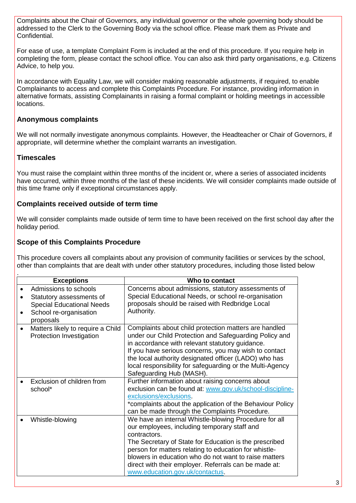Complaints about the Chair of Governors, any individual governor or the whole governing body should be addressed to the Clerk to the Governing Body via the school office. Please mark them as Private and Confidential.

For ease of use, a template Complaint Form is included at the end of this procedure. If you require help in completing the form, please contact the school office. You can also ask third party organisations, e.g. Citizens Advice, to help you.

In accordance with Equality Law, we will consider making reasonable adjustments, if required, to enable Complainants to access and complete this Complaints Procedure. For instance, providing information in alternative formats, assisting Complainants in raising a formal complaint or holding meetings in accessible locations.

#### **Anonymous complaints**

We will not normally investigate anonymous complaints. However, the Headteacher or Chair of Governors, if appropriate, will determine whether the complaint warrants an investigation.

#### **Timescales**

You must raise the complaint within three months of the incident or, where a series of associated incidents have occurred, within three months of the last of these incidents. We will consider complaints made outside of this time frame only if exceptional circumstances apply.

#### **Complaints received outside of term time**

We will consider complaints made outside of term time to have been received on the first school day after the holiday period.

#### **Scope of this Complaints Procedure**

This procedure covers all complaints about any provision of community facilities or services by the school, other than complaints that are dealt with under other statutory procedures, including those listed below

| <b>Exceptions</b>                                                                                                                         | Who to contact                                                                                                                                                                                                                                                                                                                                                                                |  |
|-------------------------------------------------------------------------------------------------------------------------------------------|-----------------------------------------------------------------------------------------------------------------------------------------------------------------------------------------------------------------------------------------------------------------------------------------------------------------------------------------------------------------------------------------------|--|
| Admissions to schools<br>Statutory assessments of<br><b>Special Educational Needs</b><br>School re-organisation<br>$\bullet$<br>proposals | Concerns about admissions, statutory assessments of<br>Special Educational Needs, or school re-organisation<br>proposals should be raised with Redbridge Local<br>Authority.                                                                                                                                                                                                                  |  |
| Matters likely to require a Child<br>Protection Investigation                                                                             | Complaints about child protection matters are handled<br>under our Child Protection and Safeguarding Policy and<br>in accordance with relevant statutory guidance.<br>If you have serious concerns, you may wish to contact<br>the local authority designated officer (LADO) who has<br>local responsibility for safeguarding or the Multi-Agency<br>Safeguarding Hub (MASH).                 |  |
| Exclusion of children from<br>school*                                                                                                     | Further information about raising concerns about<br>exclusion can be found at: www.gov.uk/school-discipline-<br>exclusions/exclusions.<br>*complaints about the application of the Behaviour Policy<br>can be made through the Complaints Procedure.                                                                                                                                          |  |
| Whistle-blowing                                                                                                                           | We have an internal Whistle-blowing Procedure for all<br>our employees, including temporary staff and<br>contractors.<br>The Secretary of State for Education is the prescribed<br>person for matters relating to education for whistle-<br>blowers in education who do not want to raise matters<br>direct with their employer. Referrals can be made at:<br>www.education.gov.uk/contactus. |  |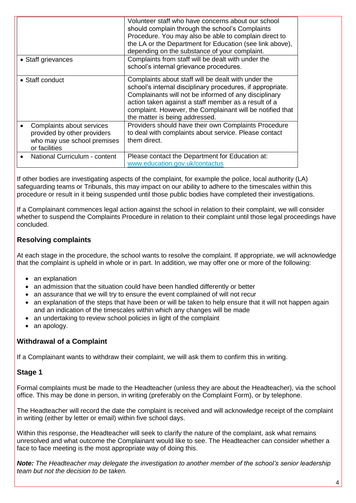|                                                                                                          | Volunteer staff who have concerns about our school<br>should complain through the school's Complaints<br>Procedure. You may also be able to complain direct to<br>the LA or the Department for Education (see link above),<br>depending on the substance of your complaint.                                                       |
|----------------------------------------------------------------------------------------------------------|-----------------------------------------------------------------------------------------------------------------------------------------------------------------------------------------------------------------------------------------------------------------------------------------------------------------------------------|
| • Staff grievances                                                                                       | Complaints from staff will be dealt with under the<br>school's internal grievance procedures.                                                                                                                                                                                                                                     |
| • Staff conduct                                                                                          | Complaints about staff will be dealt with under the<br>school's internal disciplinary procedures, if appropriate.<br>Complainants will not be informed of any disciplinary<br>action taken against a staff member as a result of a<br>complaint. However, the Complainant will be notified that<br>the matter is being addressed. |
| Complaints about services<br>provided by other providers<br>who may use school premises<br>or facilities | Providers should have their own Complaints Procedure<br>to deal with complaints about service. Please contact<br>them direct.                                                                                                                                                                                                     |
| National Curriculum - content                                                                            | Please contact the Department for Education at:<br>www.education.gov.uk/contactus                                                                                                                                                                                                                                                 |

If other bodies are investigating aspects of the complaint, for example the police, local authority (LA) safeguarding teams or Tribunals, this may impact on our ability to adhere to the timescales within this procedure or result in it being suspended until those public bodies have completed their investigations.

If a Complainant commences legal action against the school in relation to their complaint, we will consider whether to suspend the Complaints Procedure in relation to their complaint until those legal proceedings have concluded.

#### **Resolving complaints**

At each stage in the procedure, the school wants to resolve the complaint. If appropriate, we will acknowledge that the complaint is upheld in whole or in part. In addition, we may offer one or more of the following:

- an explanation
- an admission that the situation could have been handled differently or better
- an assurance that we will try to ensure the event complained of will not recur
- an explanation of the steps that have been or will be taken to help ensure that it will not happen again and an indication of the timescales within which any changes will be made
- an undertaking to review school policies in light of the complaint
- an apology.

#### **Withdrawal of a Complaint**

If a Complainant wants to withdraw their complaint, we will ask them to confirm this in writing.

#### **Stage 1**

Formal complaints must be made to the Headteacher (unless they are about the Headteacher), via the school office. This may be done in person, in writing (preferably on the Complaint Form), or by telephone.

The Headteacher will record the date the complaint is received and will acknowledge receipt of the complaint in writing (either by letter or email) within five school days.

Within this response, the Headteacher will seek to clarify the nature of the complaint, ask what remains unresolved and what outcome the Complainant would like to see. The Headteacher can consider whether a face to face meeting is the most appropriate way of doing this.

*Note: The Headteacher may delegate the investigation to another member of the school's senior leadership team but not the decision to be taken.*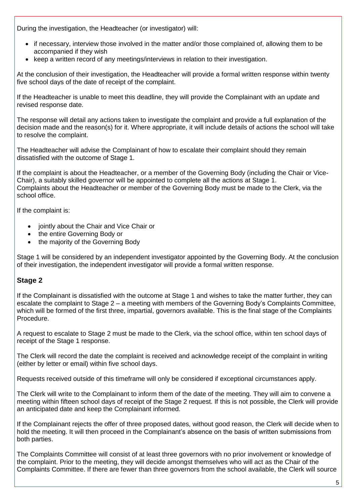During the investigation, the Headteacher (or investigator) will:

- if necessary, interview those involved in the matter and/or those complained of, allowing them to be accompanied if they wish
- keep a written record of any meetings/interviews in relation to their investigation.

At the conclusion of their investigation, the Headteacher will provide a formal written response within twenty five school days of the date of receipt of the complaint.

If the Headteacher is unable to meet this deadline, they will provide the Complainant with an update and revised response date.

The response will detail any actions taken to investigate the complaint and provide a full explanation of the decision made and the reason(s) for it. Where appropriate, it will include details of actions the school will take to resolve the complaint.

The Headteacher will advise the Complainant of how to escalate their complaint should they remain dissatisfied with the outcome of Stage 1.

If the complaint is about the Headteacher, or a member of the Governing Body (including the Chair or Vice-Chair), a suitably skilled governor will be appointed to complete all the actions at Stage 1. Complaints about the Headteacher or member of the Governing Body must be made to the Clerk, via the school office.

If the complaint is:

- iointly about the Chair and Vice Chair or
- the entire Governing Body or
- the majority of the Governing Body

Stage 1 will be considered by an independent investigator appointed by the Governing Body. At the conclusion of their investigation, the independent investigator will provide a formal written response.

### **Stage 2**

If the Complainant is dissatisfied with the outcome at Stage 1 and wishes to take the matter further, they can escalate the complaint to Stage 2 – a meeting with members of the Governing Body's Complaints Committee, which will be formed of the first three, impartial, governors available. This is the final stage of the Complaints Procedure.

A request to escalate to Stage 2 must be made to the Clerk, via the school office, within ten school days of receipt of the Stage 1 response.

The Clerk will record the date the complaint is received and acknowledge receipt of the complaint in writing (either by letter or email) within five school days.

Requests received outside of this timeframe will only be considered if exceptional circumstances apply.

The Clerk will write to the Complainant to inform them of the date of the meeting. They will aim to convene a meeting within fifteen school days of receipt of the Stage 2 request. If this is not possible, the Clerk will provide an anticipated date and keep the Complainant informed.

If the Complainant rejects the offer of three proposed dates, without good reason, the Clerk will decide when to hold the meeting. It will then proceed in the Complainant's absence on the basis of written submissions from both parties.

The Complaints Committee will consist of at least three governors with no prior involvement or knowledge of the complaint. Prior to the meeting, they will decide amongst themselves who will act as the Chair of the Complaints Committee. If there are fewer than three governors from the school available, the Clerk will source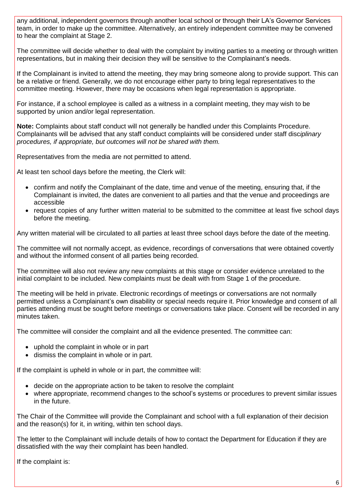any additional, independent governors through another local school or through their LA's Governor Services team, in order to make up the committee. Alternatively, an entirely independent committee may be convened to hear the complaint at Stage 2.

The committee will decide whether to deal with the complaint by inviting parties to a meeting or through written representations, but in making their decision they will be sensitive to the Complainant's needs.

If the Complainant is invited to attend the meeting, they may bring someone along to provide support. This can be a relative or friend. Generally, we do not encourage either party to bring legal representatives to the committee meeting. However, there may be occasions when legal representation is appropriate.

For instance, if a school employee is called as a witness in a complaint meeting, they may wish to be supported by union and/or legal representation.

**Note:** Complaints about staff conduct will not generally be handled under this Complaints Procedure. Complainants will be advised that any staff conduct complaints will be considered under staff disc*iplinary procedures, if appropriate, but outcomes will not be shared with them.* 

Representatives from the media are not permitted to attend.

At least ten school days before the meeting, the Clerk will:

- confirm and notify the Complainant of the date, time and venue of the meeting, ensuring that, if the Complainant is invited, the dates are convenient to all parties and that the venue and proceedings are accessible
- request copies of any further written material to be submitted to the committee at least five school days before the meeting.

Any written material will be circulated to all parties at least three school days before the date of the meeting.

The committee will not normally accept, as evidence, recordings of conversations that were obtained covertly and without the informed consent of all parties being recorded.

The committee will also not review any new complaints at this stage or consider evidence unrelated to the initial complaint to be included. New complaints must be dealt with from Stage 1 of the procedure.

The meeting will be held in private. Electronic recordings of meetings or conversations are not normally permitted unless a Complainant's own disability or special needs require it. Prior knowledge and consent of all parties attending must be sought before meetings or conversations take place. Consent will be recorded in any minutes taken.

The committee will consider the complaint and all the evidence presented. The committee can:

- uphold the complaint in whole or in part
- dismiss the complaint in whole or in part.

If the complaint is upheld in whole or in part, the committee will:

- decide on the appropriate action to be taken to resolve the complaint
- where appropriate, recommend changes to the school's systems or procedures to prevent similar issues in the future.

The Chair of the Committee will provide the Complainant and school with a full explanation of their decision and the reason(s) for it, in writing, within ten school days.

The letter to the Complainant will include details of how to contact the Department for Education if they are dissatisfied with the way their complaint has been handled.

If the complaint is: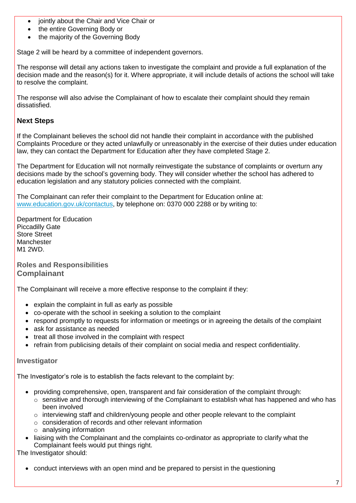- iointly about the Chair and Vice Chair or
- the entire Governing Body or
- the majority of the Governing Body

Stage 2 will be heard by a committee of independent governors.

The response will detail any actions taken to investigate the complaint and provide a full explanation of the decision made and the reason(s) for it. Where appropriate, it will include details of actions the school will take to resolve the complaint.

The response will also advise the Complainant of how to escalate their complaint should they remain dissatisfied.

#### **Next Steps**

If the Complainant believes the school did not handle their complaint in accordance with the published Complaints Procedure or they acted unlawfully or unreasonably in the exercise of their duties under education law, they can contact the Department for Education after they have completed Stage 2.

The Department for Education will not normally reinvestigate the substance of complaints or overturn any decisions made by the school's governing body. They will consider whether the school has adhered to education legislation and any statutory policies connected with the complaint.

The Complainant can refer their complaint to the Department for Education online at: [www.education.gov.uk/contactus,](http://www.education.gov.uk/contactus) by telephone on: 0370 000 2288 or by writing to:

Department for Education Piccadilly Gate Store Street **Manchester** M1 2WD.

**Roles and Responsibilities Complainant**

The Complainant will receive a more effective response to the complaint if they:

- explain the complaint in full as early as possible
- co-operate with the school in seeking a solution to the complaint
- respond promptly to requests for information or meetings or in agreeing the details of the complaint
- ask for assistance as needed
- treat all those involved in the complaint with respect
- refrain from publicising details of their complaint on social media and respect confidentiality.

#### **Investigator**

The Investigator's role is to establish the facts relevant to the complaint by:

- providing comprehensive, open, transparent and fair consideration of the complaint through:
	- $\circ$  sensitive and thorough interviewing of the Complainant to establish what has happened and who has been involved
	- o interviewing staff and children/young people and other people relevant to the complaint
	- o consideration of records and other relevant information
	- o analysing information
- liaising with the Complainant and the complaints co-ordinator as appropriate to clarify what the Complainant feels would put things right.

The Investigator should:

conduct interviews with an open mind and be prepared to persist in the questioning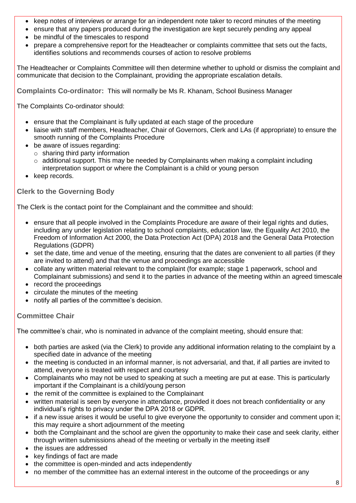- keep notes of interviews or arrange for an independent note taker to record minutes of the meeting
- ensure that any papers produced during the investigation are kept securely pending any appeal
- be mindful of the timescales to respond
- prepare a comprehensive report for the Headteacher or complaints committee that sets out the facts, identifies solutions and recommends courses of action to resolve problems

The Headteacher or Complaints Committee will then determine whether to uphold or dismiss the complaint and communicate that decision to the Complainant, providing the appropriate escalation details.

**Complaints Co-ordinator:** This will normally be Ms R. Khanam, School Business Manager

The Complaints Co-ordinator should:

- ensure that the Complainant is fully updated at each stage of the procedure
- liaise with staff members, Headteacher, Chair of Governors, Clerk and LAs (if appropriate) to ensure the smooth running of the Complaints Procedure
- be aware of issues regarding:
	- o sharing third party information
	- $\circ$  additional support. This may be needed by Complainants when making a complaint including
	- interpretation support or where the Complainant is a child or young person
- keep records.

#### **Clerk to the Governing Body**

The Clerk is the contact point for the Complainant and the committee and should:

- ensure that all people involved in the Complaints Procedure are aware of their legal rights and duties, including any under legislation relating to school complaints, education law, the Equality Act 2010, the Freedom of Information Act 2000, the Data Protection Act (DPA) 2018 and the General Data Protection Regulations (GDPR)
- set the date, time and venue of the meeting, ensuring that the dates are convenient to all parties (if they are invited to attend) and that the venue and proceedings are accessible
- collate any written material relevant to the complaint (for example; stage 1 paperwork, school and Complainant submissions) and send it to the parties in advance of the meeting within an agreed timescale
- record the proceedings
- circulate the minutes of the meeting
- notify all parties of the committee's decision.

#### **Committee Chair**

The committee's chair, who is nominated in advance of the complaint meeting, should ensure that:

- both parties are asked (via the Clerk) to provide any additional information relating to the complaint by a specified date in advance of the meeting
- the meeting is conducted in an informal manner, is not adversarial, and that, if all parties are invited to attend, everyone is treated with respect and courtesy
- Complainants who may not be used to speaking at such a meeting are put at ease. This is particularly important if the Complainant is a child/young person
- the remit of the committee is explained to the Complainant
- written material is seen by everyone in attendance, provided it does not breach confidentiality or any individual's rights to privacy under the DPA 2018 or GDPR.
- if a new issue arises it would be useful to give everyone the opportunity to consider and comment upon it; this may require a short adjournment of the meeting
- both the Complainant and the school are given the opportunity to make their case and seek clarity, either through written submissions ahead of the meeting or verbally in the meeting itself
- the issues are addressed
- key findings of fact are made
- the committee is open-minded and acts independently
- no member of the committee has an external interest in the outcome of the proceedings or any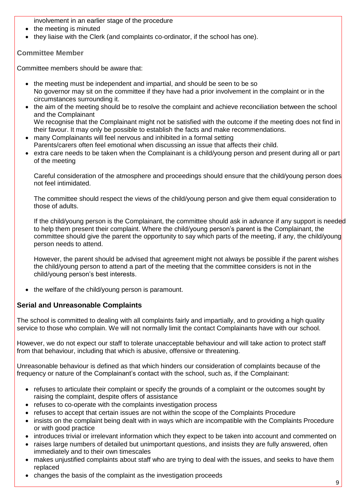involvement in an earlier stage of the procedure

- the meeting is minuted
- $\bullet$  they liaise with the Clerk (and complaints co-ordinator, if the school has one).

#### **Committee Member**

Committee members should be aware that:

- the meeting must be independent and impartial, and should be seen to be so No governor may sit on the committee if they have had a prior involvement in the complaint or in the circumstances surrounding it.
- the aim of the meeting should be to resolve the complaint and achieve reconciliation between the school and the Complainant We recognise that the Complainant might not be satisfied with the outcome if the meeting does not find in
- their favour. It may only be possible to establish the facts and make recommendations. many Complainants will feel nervous and inhibited in a formal setting
- Parents/carers often feel emotional when discussing an issue that affects their child.
- extra care needs to be taken when the Complainant is a child/young person and present during all or part of the meeting

Careful consideration of the atmosphere and proceedings should ensure that the child/young person does not feel intimidated.

The committee should respect the views of the child/young person and give them equal consideration to those of adults.

If the child/young person is the Complainant, the committee should ask in advance if any support is needed to help them present their complaint. Where the child/young person's parent is the Complainant, the committee should give the parent the opportunity to say which parts of the meeting, if any, the child/young person needs to attend.

However, the parent should be advised that agreement might not always be possible if the parent wishes the child/young person to attend a part of the meeting that the committee considers is not in the child/young person's best interests.

• the welfare of the child/young person is paramount.

#### **Serial and Unreasonable Complaints**

The school is committed to dealing with all complaints fairly and impartially, and to providing a high quality service to those who complain. We will not normally limit the contact Complainants have with our school.

However, we do not expect our staff to tolerate unacceptable behaviour and will take action to protect staff from that behaviour, including that which is abusive, offensive or threatening.

Unreasonable behaviour is defined as that which hinders our consideration of complaints because of the frequency or nature of the Complainant's contact with the school, such as, if the Complainant:

- refuses to articulate their complaint or specify the grounds of a complaint or the outcomes sought by raising the complaint, despite offers of assistance
- refuses to co-operate with the complaints investigation process
- refuses to accept that certain issues are not within the scope of the Complaints Procedure
- insists on the complaint being dealt with in ways which are incompatible with the Complaints Procedure or with good practice
- introduces trivial or irrelevant information which they expect to be taken into account and commented on
- raises large numbers of detailed but unimportant questions, and insists they are fully answered, often immediately and to their own timescales
- makes unjustified complaints about staff who are trying to deal with the issues, and seeks to have them replaced
- changes the basis of the complaint as the investigation proceeds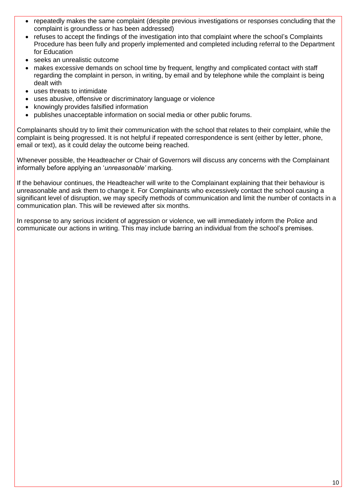- repeatedly makes the same complaint (despite previous investigations or responses concluding that the complaint is groundless or has been addressed)
- refuses to accept the findings of the investigation into that complaint where the school's Complaints Procedure has been fully and properly implemented and completed including referral to the Department for Education
- seeks an unrealistic outcome
- makes excessive demands on school time by frequent, lengthy and complicated contact with staff regarding the complaint in person, in writing, by email and by telephone while the complaint is being dealt with
- uses threats to intimidate
- uses abusive, offensive or discriminatory language or violence
- knowingly provides falsified information
- publishes unacceptable information on social media or other public forums.

Complainants should try to limit their communication with the school that relates to their complaint, while the complaint is being progressed. It is not helpful if repeated correspondence is sent (either by letter, phone, email or text), as it could delay the outcome being reached.

Whenever possible, the Headteacher or Chair of Governors will discuss any concerns with the Complainant informally before applying an '*unreasonable'* marking.

If the behaviour continues, the Headteacher will write to the Complainant explaining that their behaviour is unreasonable and ask them to change it. For Complainants who excessively contact the school causing a significant level of disruption, we may specify methods of communication and limit the number of contacts in a communication plan. This will be reviewed after six months.

In response to any serious incident of aggression or violence, we will immediately inform the Police and communicate our actions in writing. This may include barring an individual from the school's premises.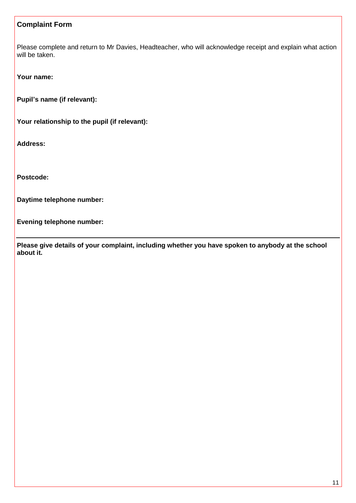#### **Complaint Form**

Please complete and return to Mr Davies, Headteacher, who will acknowledge receipt and explain what action will be taken.

**Your name:**

**Pupil's name (if relevant):**

**Your relationship to the pupil (if relevant):**

**Address:**

**Postcode:**

**Daytime telephone number:**

**Evening telephone number:**

**Please give details of your complaint, including whether you have spoken to anybody at the school about it.**